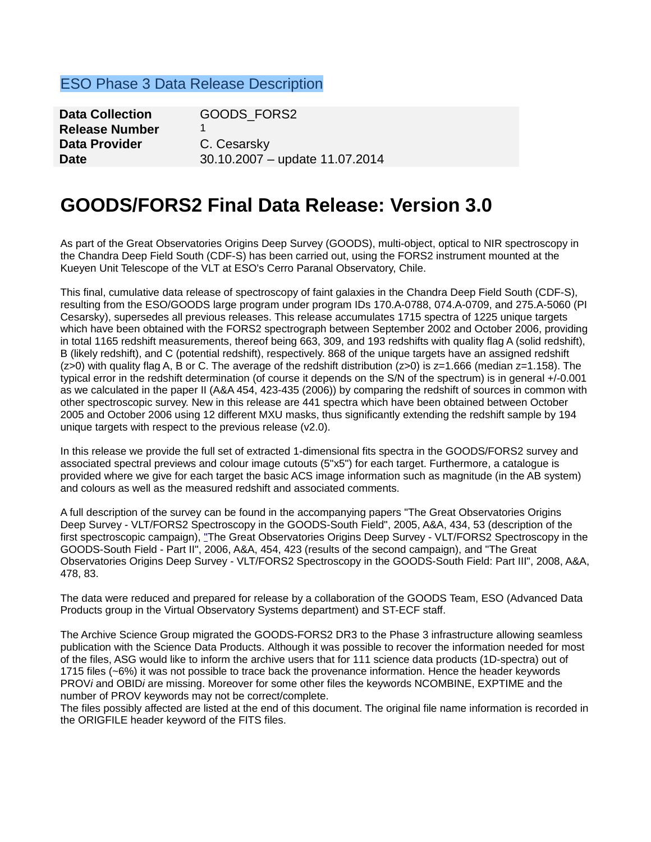### ESO Phase 3 Data Release Description

| <b>Data Collection</b> | GOODS FORS2                    |
|------------------------|--------------------------------|
| <b>Release Number</b>  |                                |
| Data Provider          | C. Cesarsky                    |
| <b>Date</b>            | 30.10.2007 - update 11.07.2014 |

# **GOODS/FORS2 Final Data Release: Version 3.0**

As part of the Great Observatories Origins Deep Survey (GOODS), multi-object, optical to NIR spectroscopy in the Chandra Deep Field South (CDF-S) has been carried out, using the FORS2 instrument mounted at the Kueyen Unit Telescope of the VLT at ESO's Cerro Paranal Observatory, Chile.

This final, cumulative data release of spectroscopy of faint galaxies in the Chandra Deep Field South (CDF-S), resulting from the ESO/GOODS large program under program IDs 170.A-0788, 074.A-0709, and 275.A-5060 (PI Cesarsky), supersedes all previous releases. This release accumulates 1715 spectra of 1225 unique targets which have been obtained with the FORS2 spectrograph between September 2002 and October 2006, providing in total 1165 redshift measurements, thereof being 663, 309, and 193 redshifts with quality flag A (solid redshift), B (likely redshift), and C (potential redshift), respectively. 868 of the unique targets have an assigned redshift ( $z>0$ ) with quality flag A, B or C. The average of the redshift distribution ( $z>0$ ) is  $z=1.666$  (median  $z=1.158$ ). The typical error in the redshift determination (of course it depends on the S/N of the spectrum) is in general +/-0.001 as we calculated in the paper II (A&A 454, 423-435 (2006)) by comparing the redshift of sources in common with other spectroscopic survey. New in this release are 441 spectra which have been obtained between October 2005 and October 2006 using 12 different MXU masks, thus significantly extending the redshift sample by 194 unique targets with respect to the previous release (v2.0).

In this release we provide the full set of extracted 1-dimensional fits spectra in the GOODS/FORS2 survey and associated spectral previews and colour image cutouts (5"x5") for each target. Furthermore, a catalogue is provided where we give for each target the basic ACS image information such as magnitude (in the AB system) and colours as well as the measured redshift and associated comments.

A full description of the survey can be found in the accompanying papers "The Great Observatories Origins Deep Survey - VLT/FORS2 Spectroscopy in the GOODS-South Field", 2005, A&A, 434, 53 (description of the first spectroscopic campaign), ["T](http://www.eso.org/science/goods/releases/20051224/GOODS_FORS2_II.pdf)he Great Observatories Origins Deep Survey - VLT/FORS2 Spectroscopy in the GOODS-South Field - Part II", 2006, A&A, 454, 423 (results of the second campaign), and "The Great Observatories Origins Deep Survey - VLT/FORS2 Spectroscopy in the GOODS-South Field: Part III", 2008, A&A, 478, 83.

The data were reduced and prepared for release by a collaboration of the GOODS Team, ESO (Advanced Data Products group in the Virtual Observatory Systems department) and ST-ECF staff.

The Archive Science Group migrated the GOODS-FORS2 DR3 to the Phase 3 infrastructure allowing seamless publication with the Science Data Products. Although it was possible to recover the information needed for most of the files, ASG would like to inform the archive users that for 111 science data products (1D-spectra) out of 1715 files (~6%) it was not possible to trace back the provenance information. Hence the header keywords PROV*i* and OBID*i* are missing. Moreover for some other files the keywords NCOMBINE, EXPTIME and the number of PROV keywords may not be correct/complete.

The files possibly affected are listed at the end of this document. The original file name information is recorded in the ORIGFILE header keyword of the FITS files.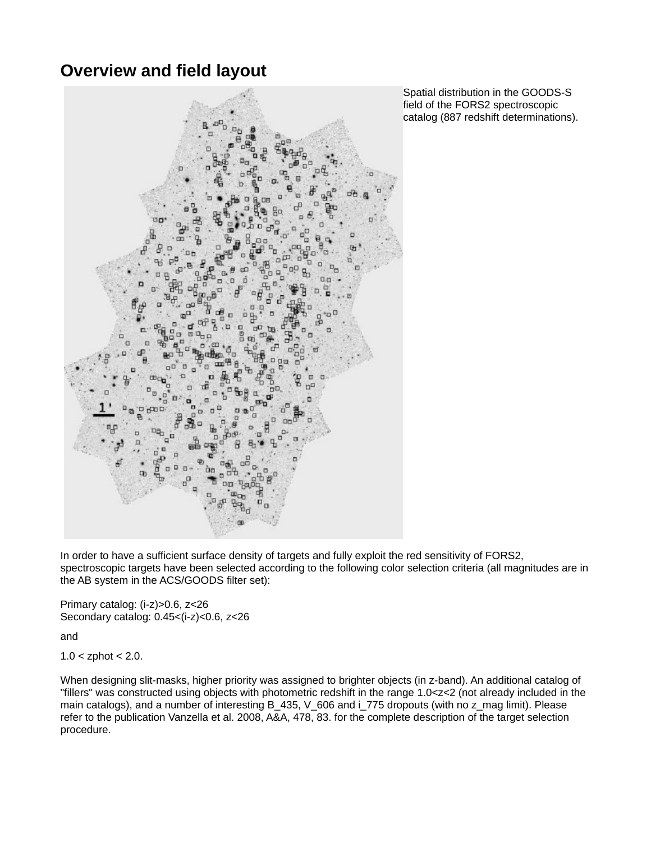## **Overview and field layout**



Spatial distribution in the GOODS-S field of the FORS2 spectroscopic catalog (887 redshift determinations).

In order to have a sufficient surface density of targets and fully exploit the red sensitivity of FORS2, spectroscopic targets have been selected according to the following color selection criteria (all magnitudes are in the AB system in the ACS/GOODS filter set):

Primary catalog: (i-z)>0.6, z<26 Secondary catalog: 0.45<(i-z)<0.6, z<26

and

 $1.0 <$  zphot  $< 2.0$ .

When designing slit-masks, higher priority was assigned to brighter objects (in z-band). An additional catalog of "fillers" was constructed using objects with photometric redshift in the range 1.0<z<2 (not already included in the main catalogs), and a number of interesting B\_435, V\_606 and i\_775 dropouts (with no z\_mag limit). Please refer to the publication Vanzella et al. 2008, A&A, 478, 83. for the complete description of the target selection procedure.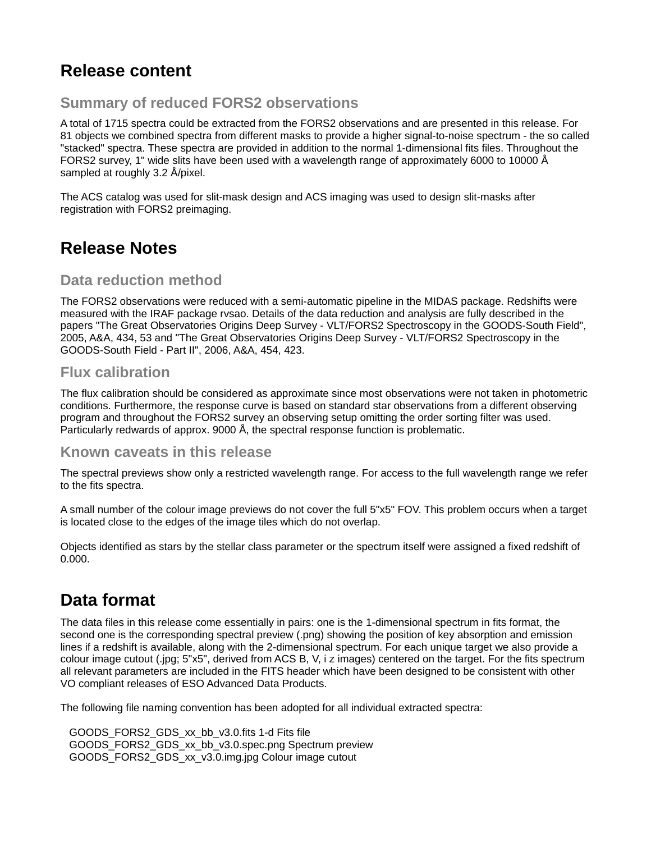# **Release content**

### **Summary of reduced FORS2 observations**

A total of 1715 spectra could be extracted from the FORS2 observations and are presented in this release. For 81 objects we combined spectra from different masks to provide a higher signal-to-noise spectrum - the so called "stacked" spectra. These spectra are provided in addition to the normal 1-dimensional fits files. Throughout the FORS2 survey, 1" wide slits have been used with a wavelength range of approximately 6000 to 10000 Å sampled at roughly 3.2 Å/pixel.

The ACS catalog was used for slit-mask design and ACS imaging was used to design slit-masks after registration with FORS2 preimaging.

## **Release Notes**

### **Data reduction method**

The FORS2 observations were reduced with a semi-automatic pipeline in the MIDAS package. Redshifts were measured with the IRAF package rvsao. Details of the data reduction and analysis are fully described in the papers "The Great Observatories Origins Deep Survey - VLT/FORS2 Spectroscopy in the GOODS-South Field", 2005, A&A, 434, 53 and "The Great Observatories Origins Deep Survey - VLT/FORS2 Spectroscopy in the GOODS-South Field - Part II", 2006, A&A, 454, 423.

### **Flux calibration**

The flux calibration should be considered as approximate since most observations were not taken in photometric conditions. Furthermore, the response curve is based on standard star observations from a different observing program and throughout the FORS2 survey an observing setup omitting the order sorting filter was used. Particularly redwards of approx. 9000 Å, the spectral response function is problematic.

### **Known caveats in this release**

The spectral previews show only a restricted wavelength range. For access to the full wavelength range we refer to the fits spectra.

A small number of the colour image previews do not cover the full 5"x5" FOV. This problem occurs when a target is located close to the edges of the image tiles which do not overlap.

Objects identified as stars by the stellar class parameter or the spectrum itself were assigned a fixed redshift of 0.000.

## **Data format**

The data files in this release come essentially in pairs: one is the 1-dimensional spectrum in fits format, the second one is the corresponding spectral preview (.png) showing the position of key absorption and emission lines if a redshift is available, along with the 2-dimensional spectrum. For each unique target we also provide a colour image cutout (.jpg; 5"x5", derived from ACS B, V, i z images) centered on the target. For the fits spectrum all relevant parameters are included in the FITS header which have been designed to be consistent with other VO compliant releases of ESO Advanced Data Products.

The following file naming convention has been adopted for all individual extracted spectra:

 GOODS\_FORS2\_GDS\_xx\_bb\_v3.0.fits 1-d Fits file GOODS\_FORS2\_GDS\_xx\_bb\_v3.0.spec.png Spectrum preview GOODS\_FORS2\_GDS\_xx\_v3.0.img.jpg Colour image cutout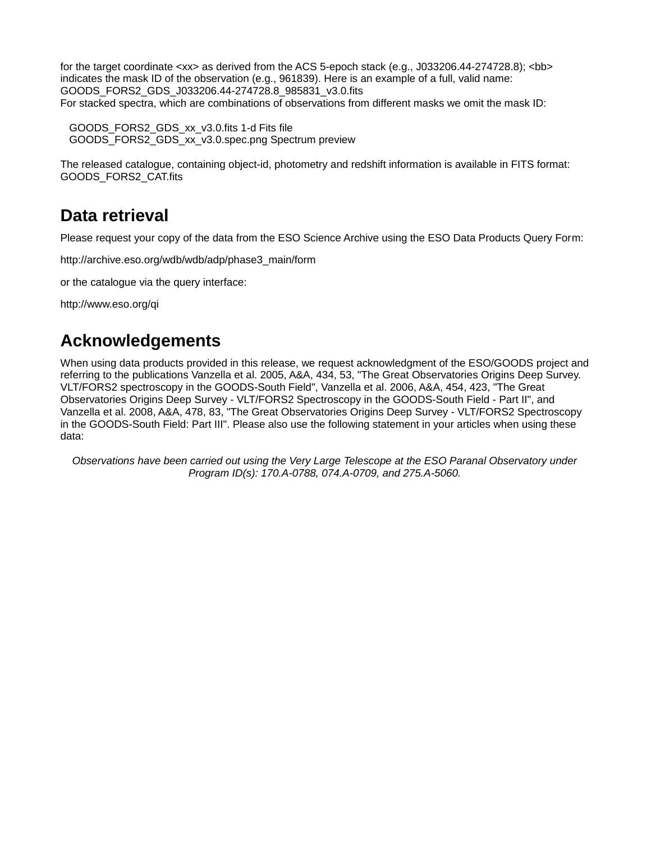for the target coordinate  $\langle x \times \rangle$  as derived from the ACS 5-epoch stack (e.g., J033206.44-274728.8);  $\langle$ bb> indicates the mask ID of the observation (e.g., 961839). Here is an example of a full, valid name: GOODS\_FORS2\_GDS\_J033206.44-274728.8\_985831\_v3.0.fits For stacked spectra, which are combinations of observations from different masks we omit the mask ID:

 GOODS\_FORS2\_GDS\_xx\_v3.0.fits 1-d Fits file GOODS\_FORS2\_GDS\_xx\_v3.0.spec.png Spectrum preview

The released catalogue, containing object-id, photometry and redshift information is available in FITS format: GOODS\_FORS2\_CAT.fits

# **Data retrieval**

Please request your copy of the data from the ESO Science Archive using the ESO Data Products Query Form:

[http://archive.eso.org/wdb/wdb/adp/phase3\\_main/form](http://archive.eso.org/wdb/wdb/adp/phase3_main/form)

or the catalogue via the query interface:

http://www.eso.org/qi

## **Acknowledgements**

When using data products provided in this release, we request acknowledgment of the ESO/GOODS project and referring to the publications Vanzella et al. 2005, A&A, 434, 53, "The Great Observatories Origins Deep Survey. VLT/FORS2 spectroscopy in the GOODS-South Field", Vanzella et al. 2006, A&A, 454, 423, "The Great Observatories Origins Deep Survey - VLT/FORS2 Spectroscopy in the GOODS-South Field - Part II", and Vanzella et al. 2008, A&A, 478, 83, "The Great Observatories Origins Deep Survey - VLT/FORS2 Spectroscopy in the GOODS-South Field: Part III". Please also use the following statement in your articles when using these data:

*Observations have been carried out using the Very Large Telescope at the ESO Paranal Observatory under Program ID(s): 170.A-0788, 074.A-0709, and 275.A-5060.*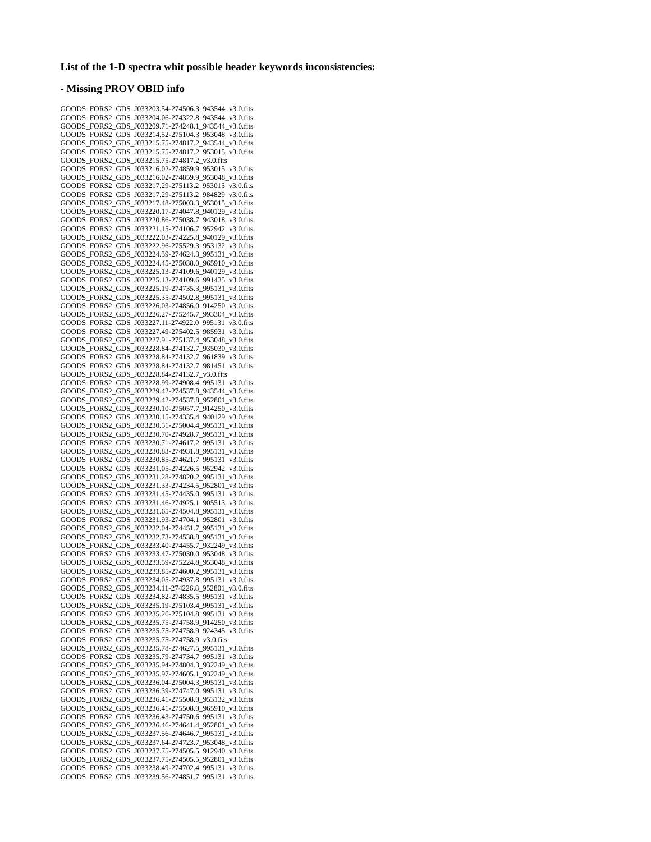#### **List of the 1-D spectra whit possible header keywords inconsistencies:**

### **- Missing PROV OBID info**

GOODS\_FORS2\_GDS\_J033203.54-274506.3\_943544\_v3.0.fits GOODS\_FORS2\_GDS\_J033204.06-274322.8\_943544\_v3.0.fits GOODS\_FORS2\_GDS\_J033209.71-274248.1\_943544\_v3.0.fits GOODS\_FORS2\_GDS\_J033214.52-275104.3\_953048\_v3.0.fits GOODS\_FORS2\_GDS\_J033215.75-274817.2\_943544\_v3.0.fits GOODS\_FORS2\_GDS\_J033215.75-274817.2\_953015\_v3.0.fits GOODS\_FORS2\_GDS\_J033215.75-274817.2\_v3.0.fits GOODS\_FORS2\_GDS\_J033216.02-274859.9\_953015\_v3.0.fits GOODS\_FORS2\_GDS\_J033216.02-274859.9\_953048\_v3.0.fits GOODS\_FORS2\_GDS\_J033217.29-275113.2\_953015\_v3.0.fits GOODS\_FORS2\_GDS\_J033217.29-275113.2\_984829\_v3.0.fits GOODS\_FORS2\_GDS\_J033217.48-275003.3\_953015\_v3.0.fits GOODS\_FORS2\_GDS\_J033220.17-274047.8\_940129\_v3.0.fits GOODS\_FORS2\_GDS\_J033220.86-275038.7\_943018\_v3.0.fits GOODS\_FORS2\_GDS\_J033221.15-274106.7\_952942\_v3.0.fits GOODS\_FORS2\_GDS\_J033222.03-274225.8\_940129\_v3.0.fits GOODS\_FORS2\_GDS\_J033222.96-275529.3\_953132\_v3.0.fits GOODS\_FORS2\_GDS\_J033224.39-274624.3\_995131\_v3.0.fits GOODS\_FORS2\_GDS\_J033224.45-275038.0\_965910\_v3.0.fits GOODS\_FORS2\_GDS\_J033225.13-274109.6\_940129\_v3.0.fits GOODS\_FORS2\_GDS\_J033225.13-274109.6\_991435\_v3.0.fits GOODS\_FORS2\_GDS\_J033225.19-274735.3\_995131\_v3.0.fits GOODS\_FORS2\_GDS\_J033225.35-274502.8\_995131\_v3.0.fits GOODS\_FORS2\_GDS\_J033226.03-274856.0\_914250\_v3.0.fits GOODS\_FORS2\_GDS\_J033226.27-275245.7\_993304\_v3.0.fits GOODS\_FORS2\_GDS\_J033227.11-274922.0\_995131\_v3.0.fits GOODS\_FORS2\_GDS\_J033227.49-275402.5\_985931\_v3.0.fits GOODS\_FORS2\_GDS\_J033227.91-275137.4\_953048\_v3.0.fits GOODS\_FORS2\_GDS\_J033228.84-274132.7\_935030\_v3.0.fits GOODS\_FORS2\_GDS\_J033228.84-274132.7\_961839\_v3.0.fits GOODS\_FORS2\_GDS\_J033228.84-274132.7\_981451\_v3.0.fits GOODS\_FORS2\_GDS\_J033228.84-274132.7\_v3.0.fits GOODS\_FORS2\_GDS\_J033228.99-274908.4\_995131\_v3.0.fits GOODS\_FORS2\_GDS\_J033229.42-274537.8\_943544\_v3.0.fits GOODS\_FORS2\_GDS\_J033229.42-274537.8\_952801\_v3.0.fits GOODS\_FORS2\_GDS\_J033230.10-275057.7\_914250\_v3.0.fits GOODS\_FORS2\_GDS\_J033230.15-274335.4\_940129\_v3.0.fits GOODS\_FORS2\_GDS\_J033230.51-275004.4\_995131\_v3.0.fits GOODS\_FORS2\_GDS\_J033230.70-274928.7\_995131\_v3.0.fits GOODS\_FORS2\_GDS\_J033230.71-274617.2\_995131\_v3.0.fits GOODS\_FORS2\_GDS\_J033230.83-274931.8\_995131\_v3.0.fits GOODS\_FORS2\_GDS\_J033230.85-274621.7\_995131\_v3.0.fits GOODS\_FORS2\_GDS\_J033231.05-274226.5\_952942\_v3.0.fits GOODS\_FORS2\_GDS\_J033231.28-274820.2\_995131\_v3.0.fits GOODS\_FORS2\_GDS\_J033231.33-274234.5\_952801\_v3.0.fits GOODS\_FORS2\_GDS\_J033231.45-274435.0\_995131\_v3.0.fits GOODS\_FORS2\_GDS\_J033231.46-274925.1\_905513\_v3.0.fits GOODS\_FORS2\_GDS\_J033231.65-274504.8\_995131\_v3.0.fits GOODS\_FORS2\_GDS\_J033231.93-274704.1\_952801\_v3.0.fits GOODS\_FORS2\_GDS\_J033232.04-274451.7\_995131\_v3.0.fits GOODS\_FORS2\_GDS\_J033232.73-274538.8\_995131\_v3.0.fits GOODS\_FORS2\_GDS\_J033233.40-274455.7\_932249\_v3.0.fits GOODS\_FORS2\_GDS\_J033233.47-275030.0\_953048\_v3.0.fits GOODS\_FORS2\_GDS\_J033233.59-275224.8\_953048\_v3.0.fits GOODS\_FORS2\_GDS\_J033233.85-274600.2\_995131\_v3.0.fits GOODS\_FORS2\_GDS\_J033234.05-274937.8\_995131\_v3.0.fits GOODS\_FORS2\_GDS\_J033234.11-274226.8\_952801\_v3.0.fits GOODS\_FORS2\_GDS\_J033234.82-274835.5\_995131\_v3.0.fits GOODS\_FORS2\_GDS\_J033235.19-275103.4\_995131\_v3.0.fits GOODS\_FORS2\_GDS\_J033235.26-275104.8\_995131\_v3.0.fits GOODS\_FORS2\_GDS\_J033235.75-274758.9\_914250\_v3.0.fits GOODS\_FORS2\_GDS\_J033235.75-274758.9\_924345\_v3.0.fits GOODS\_FORS2\_GDS\_J033235.75-274758.9\_v3.0.fits GOODS\_FORS2\_GDS\_J033235.78-274627.5\_995131\_v3.0.fits GOODS\_FORS2\_GDS\_J033235.79-274734.7\_995131\_v3.0.fits GOODS\_FORS2\_GDS\_J033235.94-274804.3\_932249\_v3.0.fits GOODS\_FORS2\_GDS\_J033235.97-274605.1\_932249\_v3.0.fits GOODS\_FORS2\_GDS\_J033236.04-275004.3\_995131\_v3.0.fits GOODS\_FORS2\_GDS\_J033236.39-274747.0\_995131\_v3.0.fits GOODS\_FORS2\_GDS\_J033236.41-275508.0\_953132\_v3.0.fits GOODS\_FORS2\_GDS\_J033236.41-275508.0\_965910\_v3.0.fits GOODS\_FORS2\_GDS\_J033236.43-274750.6\_995131\_v3.0.fits GOODS\_FORS2\_GDS\_J033236.46-274641.4\_952801\_v3.0.fits GOODS\_FORS2\_GDS\_J033237.56-274646.7\_995131\_v3.0.fits GOODS\_FORS2\_GDS\_J033237.64-274723.7\_953048\_v3.0.fits GOODS\_FORS2\_GDS\_J033237.75-274505.5\_912940\_v3.0.fits GOODS\_FORS2\_GDS\_J033237.75-274505.5\_952801\_v3.0.fits GOODS\_FORS2\_GDS\_J033238.49-274702.4\_995131\_v3.0.fits GOODS\_FORS2\_GDS\_J033239.56-274851.7\_995131\_v3.0.fits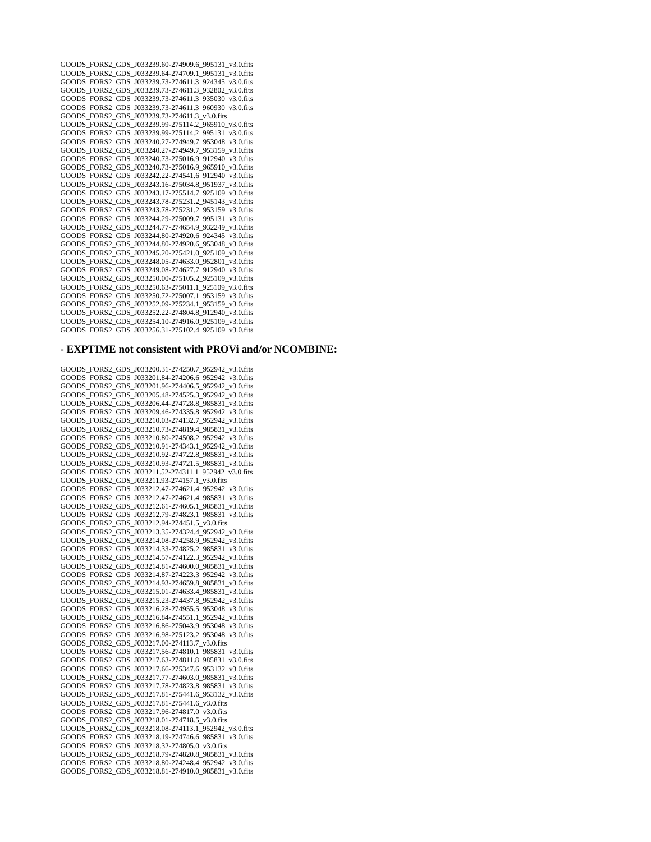GOODS\_FORS2\_GDS\_J033239.60-274909.6\_995131\_v3.0.fits GOODS\_FORS2\_GDS\_J033239.64-274709.1\_995131\_v3.0.fits GOODS\_FORS2\_GDS\_J033239.73-274611.3\_924345\_v3.0.fits GOODS\_FORS2\_GDS\_J033239.73-274611.3\_932802\_v3.0.fits GOODS\_FORS2\_GDS\_J033239.73-274611.3\_935030\_v3.0.fits GOODS\_FORS2\_GDS\_J033239.73-274611.3\_960930\_v3.0.fits GOODS\_FORS2\_GDS\_J033239.73-274611.3\_v3.0.fits GOODS\_FORS2\_GDS\_J033239.99-275114.2\_965910\_v3.0.fits GOODS\_FORS2\_GDS\_J033239.99-275114.2\_995131\_v3.0.fits GOODS\_FORS2\_GDS\_J033240.27-274949.7\_953048\_v3.0.fits GOODS\_FORS2\_GDS\_J033240.27-274949.7\_953159\_v3.0.fits GOODS\_FORS2\_GDS\_J033240.73-275016.9\_912940\_v3.0.fits GOODS\_FORS2\_GDS\_J033240.73-275016.9\_965910\_v3.0.fits GOODS\_FORS2\_GDS\_J033242.22-274541.6\_912940\_v3.0.fits GOODS\_FORS2\_GDS\_J033243.16-275034.8\_951937\_v3.0.fits GOODS\_FORS2\_GDS\_J033243.17-275514.7\_925109\_v3.0.fits GOODS\_FORS2\_GDS\_J033243.78-275231.2\_945143\_v3.0.fits GOODS\_FORS2\_GDS\_J033243.78-275231.2\_953159\_v3.0.fits GOODS\_FORS2\_GDS\_J033244.29-275009.7\_995131\_v3.0.fits GOODS\_FORS2\_GDS\_J033244.77-274654.9\_932249\_v3.0.fits GOODS\_FORS2\_GDS\_J033244.80-274920.6\_924345\_v3.0.fits GOODS\_FORS2\_GDS\_J033244.80-274920.6\_953048\_v3.0.fits GOODS\_FORS2\_GDS\_J033245.20-275421.0\_925109\_v3.0.fits GOODS\_FORS2\_GDS\_J033248.05-274633.0\_952801\_v3.0.fits GOODS\_FORS2\_GDS\_J033249.08-274627.7\_912940\_v3.0.fits GOODS\_FORS2\_GDS\_J033250.00-275105.2\_925109\_v3.0.fits GOODS\_FORS2\_GDS\_J033250.63-275011.1\_925109\_v3.0.fits GOODS\_FORS2\_GDS\_J033250.72-275007.1\_953159\_v3.0.fits GOODS\_FORS2\_GDS\_J033252.09-275234.1\_953159\_v3.0.fits GOODS\_FORS2\_GDS\_J033252.22-274804.8\_912940\_v3.0.fits GOODS\_FORS2\_GDS\_J033254.10-274916.0\_925109\_v3.0.fits GOODS\_FORS2\_GDS\_J033256.31-275102.4\_925109\_v3.0.fits

### **- EXPTIME not consistent with PROVi and/or NCOMBINE:**

GOODS\_FORS2\_GDS\_J033200.31-274250.7\_952942\_v3.0.fits GOODS\_FORS2\_GDS\_J033201.84-274206.6\_952942\_v3.0.fits GOODS\_FORS2\_GDS\_J033201.96-274406.5\_952942\_v3.0.fits GOODS\_FORS2\_GDS\_J033205.48-274525.3\_952942\_v3.0.fits GOODS\_FORS2\_GDS\_J033206.44-274728.8\_985831\_v3.0.fits GOODS\_FORS2\_GDS\_J033209.46-274335.8\_952942\_v3.0.fits GOODS\_FORS2\_GDS\_J033210.03-274132.7\_952942\_v3.0.fits GOODS\_FORS2\_GDS\_J033210.73-274819.4\_985831\_v3.0.fits GOODS\_FORS2\_GDS\_J033210.80-274508.2\_952942\_v3.0.fits GOODS\_FORS2\_GDS\_J033210.91-274343.1\_952942\_v3.0.fits GOODS\_FORS2\_GDS\_J033210.92-274722.8\_985831\_v3.0.fits GOODS\_FORS2\_GDS\_J033210.93-274721.5\_985831\_v3.0.fits GOODS\_FORS2\_GDS\_J033211.52-274311.1\_952942\_v3.0.fits GOODS\_FORS2\_GDS\_J033211.93-274157.1\_v3.0.fits GOODS\_FORS2\_GDS\_J033212.47-274621.4\_952942\_v3.0.fits GOODS\_FORS2\_GDS\_J033212.47-274621.4\_985831\_v3.0.fits GOODS\_FORS2\_GDS\_J033212.61-274605.1\_985831\_v3.0.fits GOODS\_FORS2\_GDS\_J033212.79-274823.1\_985831\_v3.0.fits GOODS\_FORS2\_GDS\_J033212.94-274451.5\_v3.0.fits GOODS\_FORS2\_GDS\_J033213.35-274324.4\_952942\_v3.0.fits GOODS\_FORS2\_GDS\_J033214.08-274258.9\_952942\_v3.0.fits GOODS\_FORS2\_GDS\_J033214.33-274825.2\_985831\_v3.0.fits GOODS\_FORS2\_GDS\_J033214.57-274122.3\_952942\_v3.0.fits GOODS\_FORS2\_GDS\_J033214.81-274600.0\_985831\_v3.0.fits GOODS\_FORS2\_GDS\_J033214.87-274223.3\_952942\_v3.0.fits GOODS\_FORS2\_GDS\_J033214.93-274659.8\_985831\_v3.0.fits GOODS\_FORS2\_GDS\_J033215.01-274633.4\_985831\_v3.0.fits GOODS\_FORS2\_GDS\_J033215.23-274437.8\_952942\_v3.0.fits GOODS\_FORS2\_GDS\_J033216.28-274955.5\_953048\_v3.0.fits GOODS\_FORS2\_GDS\_J033216.84-274551.1\_952942\_v3.0.fits GOODS\_FORS2\_GDS\_J033216.86-275043.9\_953048\_v3.0.fits GOODS\_FORS2\_GDS\_J033216.98-275123.2\_953048\_v3.0.fits GOODS\_FORS2\_GDS\_J033217.00-274113.7\_v3.0.fits GOODS\_FORS2\_GDS\_J033217.56-274810.1\_985831\_v3.0.fits GOODS\_FORS2\_GDS\_J033217.63-274811.8\_985831\_v3.0.fits GOODS\_FORS2\_GDS\_J033217.66-275347.6\_953132\_v3.0.fits GOODS\_FORS2\_GDS\_J033217.77-274603.0\_985831\_v3.0.fits GOODS\_FORS2\_GDS\_J033217.78-274823.8\_985831\_v3.0.fits GOODS\_FORS2\_GDS\_J033217.81-275441.6\_953132\_v3.0.fits GOODS\_FORS2\_GDS\_J033217.81-275441.6\_v3.0.fits GOODS\_FORS2\_GDS\_J033217.96-274817.0\_v3.0.fits GOODS\_FORS2\_GDS\_J033218.01-274718.5\_v3.0.fits GOODS\_FORS2\_GDS\_J033218.08-274113.1\_952942\_v3.0.fits GOODS\_FORS2\_GDS\_J033218.19-274746.6\_985831\_v3.0.fits GOODS\_FORS2\_GDS\_J033218.32-274805.0\_v3.0.fits GOODS\_FORS2\_GDS\_J033218.79-274820.8\_985831\_v3.0.fits GOODS\_FORS2\_GDS\_J033218.80-274248.4\_952942\_v3.0.fits GOODS\_FORS2\_GDS\_J033218.81-274910.0\_985831\_v3.0.fits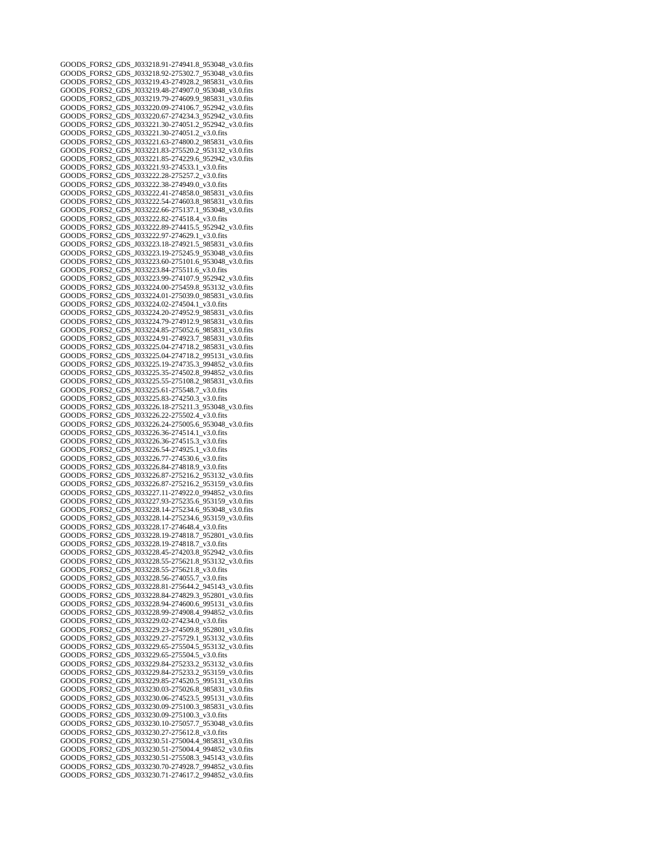GOODS\_FORS2\_GDS\_J033218.91-274941.8\_953048\_v3.0.fits GOODS\_FORS2\_GDS\_J033218.92-275302.7\_953048\_v3.0.fits GOODS\_FORS2\_GDS\_J033219.43-274928.2\_985831\_v3.0.fits GOODS\_FORS2\_GDS\_J033219.48-274907.0\_953048\_v3.0.fits GOODS\_FORS2\_GDS\_J033219.79-274609.9\_985831\_v3.0.fits GOODS\_FORS2\_GDS\_J033220.09-274106.7\_952942\_v3.0.fits GOODS\_FORS2\_GDS\_J033220.67-274234.3\_952942\_v3.0.fits GOODS\_FORS2\_GDS\_J033221.30-274051.2\_952942\_v3.0.fits GOODS\_FORS2\_GDS\_J033221.30-274051.2\_v3.0.fits GOODS\_FORS2\_GDS\_J033221.63-274800.2\_985831\_v3.0.fits GOODS\_FORS2\_GDS\_J033221.83-275520.2\_953132\_v3.0.fits GOODS\_FORS2\_GDS\_J033221.85-274229.6\_952942\_v3.0.fits GOODS\_FORS2\_GDS\_J033221.93-274533.1\_v3.0.fits GOODS\_FORS2\_GDS\_J033222.28-275257.2\_v3.0.fits GOODS\_FORS2\_GDS\_J033222.38-274949.0\_v3.0.fits GOODS\_FORS2\_GDS\_J033222.41-274858.0\_985831\_v3.0.fits GOODS\_FORS2\_GDS\_J033222.54-274603.8\_985831\_v3.0.fits GOODS\_FORS2\_GDS\_J033222.66-275137.1\_953048\_v3.0.fits GOODS\_FORS2\_GDS\_J033222.82-274518.4\_v3.0.fits GOODS\_FORS2\_GDS\_J033222.89-274415.5\_952942\_v3.0.fits GOODS\_FORS2\_GDS\_J033222.97-274629.1\_v3.0.fits GOODS\_FORS2\_GDS\_J033223.18-274921.5\_985831\_v3.0.fits GOODS\_FORS2\_GDS\_J033223.19-275245.9\_953048\_v3.0.fits GOODS\_FORS2\_GDS\_J033223.60-275101.6\_953048\_v3.0.fits GOODS\_FORS2\_GDS\_J033223.84-275511.6\_v3.0.fits GOODS\_FORS2\_GDS\_J033223.99-274107.9\_952942\_v3.0.fits GOODS\_FORS2\_GDS\_J033224.00-275459.8\_953132\_v3.0.fits GOODS\_FORS2\_GDS\_J033224.01-275039.0\_985831\_v3.0.fits GOODS\_FORS2\_GDS\_J033224.02-274504.1\_v3.0.fits GOODS\_FORS2\_GDS\_J033224.20-274952.9\_985831\_v3.0.fits GOODS\_FORS2\_GDS\_J033224.79-274912.9\_985831\_v3.0.fits GOODS\_FORS2\_GDS\_J033224.85-275052.6\_985831\_v3.0.fits GOODS\_FORS2\_GDS\_J033224.91-274923.7\_985831\_v3.0.fits GOODS\_FORS2\_GDS\_J033225.04-274718.2\_985831\_v3.0.fits GOODS\_FORS2\_GDS\_J033225.04-274718.2\_995131\_v3.0.fits GOODS\_FORS2\_GDS\_J033225.19-274735.3\_994852\_v3.0.fits GOODS\_FORS2\_GDS\_J033225.35-274502.8\_994852\_v3.0.fits GOODS\_FORS2\_GDS\_J033225.55-275108.2\_985831\_v3.0.fits GOODS\_FORS2\_GDS\_J033225.61-275548.7\_v3.0.fits GOODS\_FORS2\_GDS\_J033225.83-274250.3\_v3.0.fits GOODS\_FORS2\_GDS\_J033226.18-275211.3\_953048\_v3.0.fits GOODS\_FORS2\_GDS\_J033226.22-275502.4\_v3.0.fits GOODS\_FORS2\_GDS\_J033226.24-275005.6\_953048\_v3.0.fits GOODS\_FORS2\_GDS\_J033226.36-274514.1\_v3.0.fits GOODS\_FORS2\_GDS\_J033226.36-274515.3\_v3.0.fits GOODS\_FORS2\_GDS\_J033226.54-274925.1\_v3.0.fits GOODS\_FORS2\_GDS\_J033226.77-274530.6\_v3.0.fits GOODS\_FORS2\_GDS\_J033226.84-274818.9\_v3.0.fits GOODS\_FORS2\_GDS\_J033226.87-275216.2\_953132\_v3.0.fits GOODS\_FORS2\_GDS\_J033226.87-275216.2\_953159\_v3.0.fits GOODS\_FORS2\_GDS\_J033227.11-274922.0\_994852\_v3.0.fits GOODS\_FORS2\_GDS\_J033227.93-275235.6\_953159\_v3.0.fits GOODS\_FORS2\_GDS\_J033228.14-275234.6\_953048\_v3.0.fits GOODS\_FORS2\_GDS\_J033228.14-275234.6\_953159\_v3.0.fits GOODS\_FORS2\_GDS\_J033228.17-274648.4\_v3.0.fits GOODS\_FORS2\_GDS\_J033228.19-274818.7\_952801\_v3.0.fits GOODS\_FORS2\_GDS\_J033228.19-274818.7\_v3.0.fits GOODS\_FORS2\_GDS\_J033228.45-274203.8\_952942\_v3.0.fits GOODS\_FORS2\_GDS\_J033228.55-275621.8\_953132\_v3.0.fits GOODS\_FORS2\_GDS\_J033228.55-275621.8\_v3.0.fits GOODS\_FORS2\_GDS\_J033228.56-274055.7\_v3.0.fits GOODS\_FORS2\_GDS\_J033228.81-275644.2\_945143\_v3.0.fits GOODS\_FORS2\_GDS\_J033228.84-274829.3\_952801\_v3.0.fits GOODS\_FORS2\_GDS\_J033228.94-274600.6\_995131\_v3.0.fits GOODS\_FORS2\_GDS\_J033228.99-274908.4\_994852\_v3.0.fits GOODS\_FORS2\_GDS\_J033229.02-274234.0\_v3.0.fits GOODS\_FORS2\_GDS\_J033229.23-274509.8\_952801\_v3.0.fits GOODS\_FORS2\_GDS\_J033229.27-275729.1\_953132\_v3.0.fits GOODS\_FORS2\_GDS\_J033229.65-275504.5\_953132\_v3.0.fits GOODS\_FORS2\_GDS\_J033229.65-275504.5\_v3.0.fits GOODS\_FORS2\_GDS\_J033229.84-275233.2\_953132\_v3.0.fits GOODS\_FORS2\_GDS\_J033229.84-275233.2\_953159\_v3.0.fits GOODS\_FORS2\_GDS\_J033229.85-274520.5\_995131\_v3.0.fits GOODS\_FORS2\_GDS\_J033230.03-275026.8\_985831\_v3.0.fits GOODS\_FORS2\_GDS\_J033230.06-274523.5\_995131\_v3.0.fits GOODS\_FORS2\_GDS\_J033230.09-275100.3\_985831\_v3.0.fits GOODS\_FORS2\_GDS\_J033230.09-275100.3\_v3.0.fits GOODS\_FORS2\_GDS\_J033230.10-275057.7\_953048\_v3.0.fits GOODS\_FORS2\_GDS\_J033230.27-275612.8\_v3.0.fits GOODS\_FORS2\_GDS\_J033230.51-275004.4\_985831\_v3.0.fits GOODS\_FORS2\_GDS\_J033230.51-275004.4\_994852\_v3.0.fits GOODS\_FORS2\_GDS\_J033230.51-275508.3\_945143\_v3.0.fits GOODS\_FORS2\_GDS\_J033230.70-274928.7\_994852\_v3.0.fits GOODS\_FORS2\_GDS\_J033230.71-274617.2\_994852\_v3.0.fits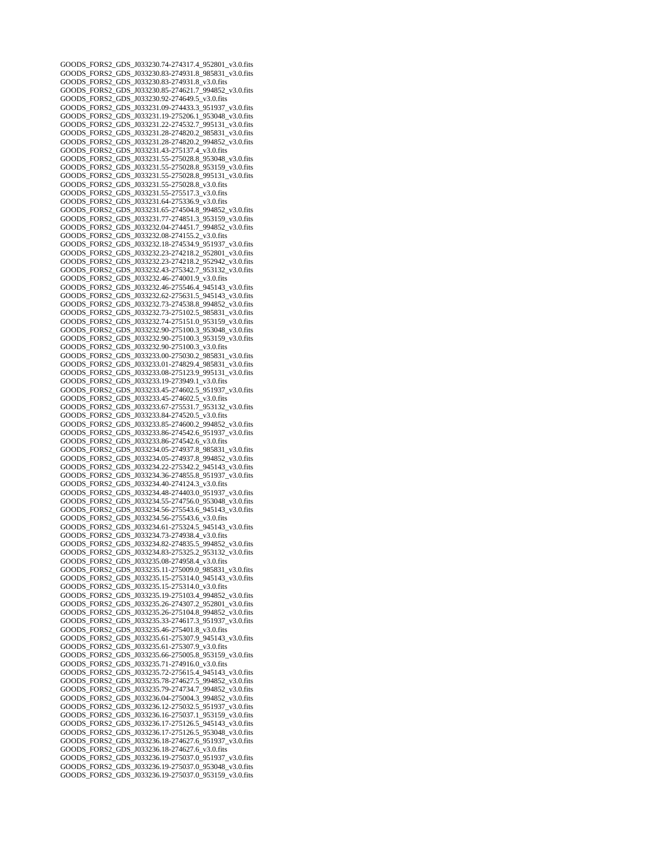GOODS\_FORS2\_GDS\_J033230.74-274317.4\_952801\_v3.0.fits GOODS\_FORS2\_GDS\_J033230.83-274931.8\_985831\_v3.0.fits GOODS\_FORS2\_GDS\_J033230.83-274931.8\_v3.0.fits GOODS\_FORS2\_GDS\_J033230.85-274621.7\_994852\_v3.0.fits GOODS\_FORS2\_GDS\_J033230.92-274649.5\_v3.0.fits GOODS\_FORS2\_GDS\_J033231.09-274433.3\_951937\_v3.0.fits GOODS\_FORS2\_GDS\_J033231.19-275206.1\_953048\_v3.0.fits GOODS\_FORS2\_GDS\_J033231.22-274532.7\_995131\_v3.0.fits GOODS\_FORS2\_GDS\_J033231.28-274820.2\_985831\_v3.0.fits GOODS\_FORS2\_GDS\_J033231.28-274820.2\_994852\_v3.0.fits GOODS\_FORS2\_GDS\_J033231.43-275137.4\_v3.0.fits GOODS\_FORS2\_GDS\_J033231.55-275028.8\_953048\_v3.0.fits GOODS\_FORS2\_GDS\_J033231.55-275028.8\_953159\_v3.0.fits GOODS\_FORS2\_GDS\_J033231.55-275028.8\_995131\_v3.0.fits GOODS\_FORS2\_GDS\_J033231.55-275028.8\_v3.0.fits GOODS\_FORS2\_GDS\_J033231.55-275517.3\_v3.0.fits GOODS\_FORS2\_GDS\_J033231.64-275336.9\_v3.0.fits GOODS\_FORS2\_GDS\_J033231.65-274504.8\_994852\_v3.0.fits GOODS\_FORS2\_GDS\_J033231.77-274851.3\_953159\_v3.0.fits GOODS\_FORS2\_GDS\_J033232.04-274451.7\_994852\_v3.0.fits GOODS\_FORS2\_GDS\_J033232.08-274155.2\_v3.0.fits GOODS\_FORS2\_GDS\_J033232.18-274534.9\_951937\_v3.0.fits GOODS\_FORS2\_GDS\_J033232.23-274218.2\_952801\_v3.0.fits GOODS\_FORS2\_GDS\_J033232.23-274218.2\_952942\_v3.0.fits GOODS\_FORS2\_GDS\_J033232.43-275342.7\_953132\_v3.0.fits GOODS\_FORS2\_GDS\_J033232.46-274001.9\_v3.0.fits GOODS\_FORS2\_GDS\_J033232.46-275546.4\_945143\_v3.0.fits GOODS\_FORS2\_GDS\_J033232.62-275631.5\_945143\_v3.0.fits GOODS\_FORS2\_GDS\_J033232.73-274538.8\_994852\_v3.0.fits GOODS\_FORS2\_GDS\_J033232.73-275102.5\_985831\_v3.0.fits GOODS\_FORS2\_GDS\_J033232.74-275151.0\_953159\_v3.0.fits GOODS\_FORS2\_GDS\_J033232.90-275100.3\_953048\_v3.0.fits GOODS\_FORS2\_GDS\_J033232.90-275100.3\_953159\_v3.0.fits GOODS\_FORS2\_GDS\_J033232.90-275100.3\_v3.0.fits GOODS\_FORS2\_GDS\_J033233.00-275030.2\_985831\_v3.0.fits GOODS\_FORS2\_GDS\_J033233.01-274829.4\_985831\_v3.0.fits GOODS\_FORS2\_GDS\_J033233.08-275123.9\_995131\_v3.0.fits GOODS\_FORS2\_GDS\_J033233.19-273949.1\_v3.0.fits GOODS\_FORS2\_GDS\_J033233.45-274602.5\_951937\_v3.0.fits GOODS\_FORS2\_GDS\_J033233.45-274602.5\_v3.0.fits GOODS\_FORS2\_GDS\_J033233.67-275531.7\_953132\_v3.0.fits GOODS\_FORS2\_GDS\_J033233.84-274520.5\_v3.0.fits GOODS\_FORS2\_GDS\_J033233.85-274600.2\_994852\_v3.0.fits GOODS\_FORS2\_GDS\_J033233.86-274542.6\_951937\_v3.0.fits GOODS\_FORS2\_GDS\_J033233.86-274542.6\_v3.0.fits GOODS\_FORS2\_GDS\_J033234.05-274937.8\_985831\_v3.0.fits GOODS\_FORS2\_GDS\_J033234.05-274937.8\_994852\_v3.0.fits GOODS\_FORS2\_GDS\_J033234.22-275342.2\_945143\_v3.0.fits GOODS\_FORS2\_GDS\_J033234.36-274855.8\_951937\_v3.0.fits GOODS\_FORS2\_GDS\_J033234.40-274124.3\_v3.0.fits GOODS\_FORS2\_GDS\_J033234.48-274403.0\_951937\_v3.0.fits GOODS\_FORS2\_GDS\_J033234.55-274756.0\_953048\_v3.0.fits GOODS\_FORS2\_GDS\_J033234.56-275543.6\_945143\_v3.0.fits GOODS\_FORS2\_GDS\_J033234.56-275543.6\_v3.0.fits GOODS\_FORS2\_GDS\_J033234.61-275324.5\_945143\_v3.0.fits GOODS\_FORS2\_GDS\_J033234.73-274938.4\_v3.0.fits GOODS\_FORS2\_GDS\_J033234.82-274835.5\_994852\_v3.0.fits GOODS\_FORS2\_GDS\_J033234.83-275325.2\_953132\_v3.0.fits GOODS\_FORS2\_GDS\_J033235.08-274958.4\_v3.0.fits GOODS\_FORS2\_GDS\_J033235.11-275009.0\_985831\_v3.0.fits GOODS\_FORS2\_GDS\_J033235.15-275314.0\_945143\_v3.0.fits GOODS\_FORS2\_GDS\_J033235.15-275314.0\_v3.0.fits GOODS\_FORS2\_GDS\_J033235.19-275103.4\_994852\_v3.0.fits GOODS\_FORS2\_GDS\_J033235.26-274307.2\_952801\_v3.0.fits GOODS\_FORS2\_GDS\_J033235.26-275104.8\_994852\_v3.0.fits GOODS\_FORS2\_GDS\_J033235.33-274617.3\_951937\_v3.0.fits GOODS\_FORS2\_GDS\_J033235.46-275401.8\_v3.0.fits GOODS\_FORS2\_GDS\_J033235.61-275307.9\_945143\_v3.0.fits GOODS\_FORS2\_GDS\_J033235.61-275307.9\_v3.0.fits GOODS\_FORS2\_GDS\_J033235.66-275005.8\_953159\_v3.0.fits GOODS\_FORS2\_GDS\_J033235.71-274916.0\_v3.0.fits GOODS\_FORS2\_GDS\_J033235.72-275615.4\_945143\_v3.0.fits GOODS\_FORS2\_GDS\_J033235.78-274627.5\_994852\_v3.0.fits GOODS\_FORS2\_GDS\_J033235.79-274734.7\_994852\_v3.0.fits GOODS\_FORS2\_GDS\_J033236.04-275004.3\_994852\_v3.0.fits GOODS\_FORS2\_GDS\_J033236.12-275032.5\_951937\_v3.0.fits GOODS\_FORS2\_GDS\_J033236.16-275037.1\_953159\_v3.0.fits GOODS\_FORS2\_GDS\_J033236.17-275126.5\_945143\_v3.0.fits GOODS\_FORS2\_GDS\_J033236.17-275126.5\_953048\_v3.0.fits GOODS\_FORS2\_GDS\_J033236.18-274627.6\_951937\_v3.0.fits GOODS\_FORS2\_GDS\_J033236.18-274627.6\_v3.0.fits GOODS\_FORS2\_GDS\_J033236.19-275037.0\_951937\_v3.0.fits GOODS\_FORS2\_GDS\_J033236.19-275037.0\_953048\_v3.0.fits GOODS\_FORS2\_GDS\_J033236.19-275037.0\_953159\_v3.0.fits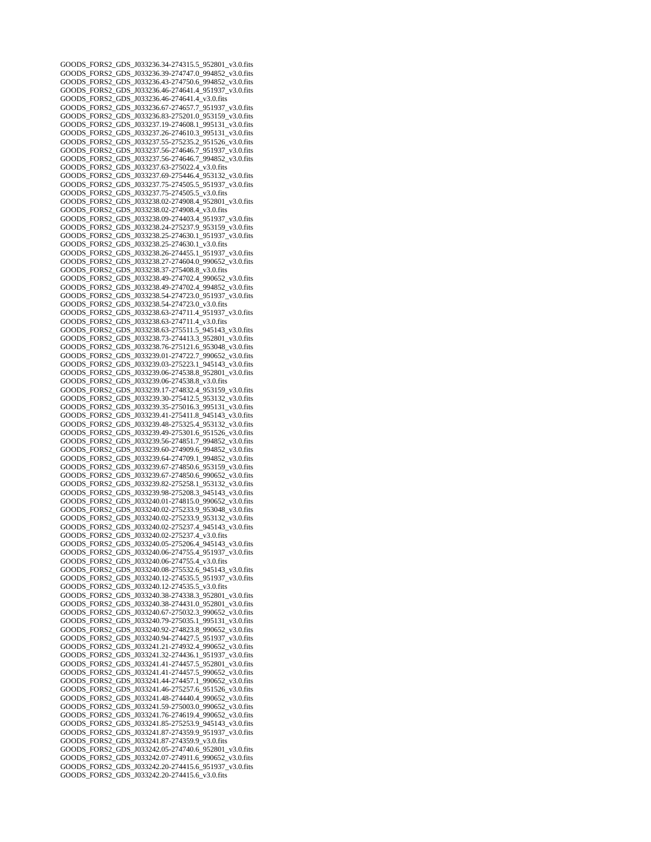GOODS\_FORS2\_GDS\_J033236.34-274315.5\_952801\_v3.0.fits GOODS\_FORS2\_GDS\_J033236.39-274747.0\_994852\_v3.0.fits GOODS\_FORS2\_GDS\_J033236.43-274750.6\_994852\_v3.0.fits GOODS\_FORS2\_GDS\_J033236.46-274641.4\_951937\_v3.0.fits GOODS\_FORS2\_GDS\_J033236.46-274641.4\_v3.0.fits GOODS\_FORS2\_GDS\_J033236.67-274657.7\_951937\_v3.0.fits GOODS\_FORS2\_GDS\_J033236.83-275201.0\_953159\_v3.0.fits GOODS\_FORS2\_GDS\_J033237.19-274608.1\_995131\_v3.0.fits GOODS\_FORS2\_GDS\_J033237.26-274610.3\_995131\_v3.0.fits GOODS\_FORS2\_GDS\_J033237.55-275235.2\_951526\_v3.0.fits GOODS\_FORS2\_GDS\_J033237.56-274646.7\_951937\_v3.0.fits GOODS\_FORS2\_GDS\_J033237.56-274646.7\_994852\_v3.0.fits GOODS\_FORS2\_GDS\_J033237.63-275022.4\_v3.0.fits GOODS\_FORS2\_GDS\_J033237.69-275446.4\_953132\_v3.0.fits GOODS\_FORS2\_GDS\_J033237.75-274505.5\_951937\_v3.0.fits GOODS\_FORS2\_GDS\_J033237.75-274505.5\_v3.0.fits GOODS\_FORS2\_GDS\_J033238.02-274908.4\_952801\_v3.0.fits GOODS\_FORS2\_GDS\_J033238.02-274908.4\_v3.0.fits GOODS\_FORS2\_GDS\_J033238.09-274403.4\_951937\_v3.0.fits GOODS\_FORS2\_GDS\_J033238.24-275237.9\_953159\_v3.0.fits GOODS\_FORS2\_GDS\_J033238.25-274630.1\_951937\_v3.0.fits GOODS\_FORS2\_GDS\_J033238.25-274630.1\_v3.0.fits GOODS\_FORS2\_GDS\_J033238.26-274455.1\_951937\_v3.0.fits GOODS\_FORS2\_GDS\_J033238.27-274604.0\_990652\_v3.0.fits GOODS\_FORS2\_GDS\_J033238.37-275408.8\_v3.0.fits GOODS\_FORS2\_GDS\_J033238.49-274702.4\_990652\_v3.0.fits GOODS\_FORS2\_GDS\_J033238.49-274702.4\_994852\_v3.0.fits GOODS\_FORS2\_GDS\_J033238.54-274723.0\_951937\_v3.0.fits GOODS\_FORS2\_GDS\_J033238.54-274723.0\_v3.0.fits GOODS\_FORS2\_GDS\_J033238.63-274711.4\_951937\_v3.0.fits GOODS\_FORS2\_GDS\_J033238.63-274711.4\_v3.0.fits GOODS\_FORS2\_GDS\_J033238.63-275511.5\_945143\_v3.0.fits GOODS\_FORS2\_GDS\_J033238.73-274413.3\_952801\_v3.0.fits GOODS\_FORS2\_GDS\_J033238.76-275121.6\_953048\_v3.0.fits GOODS\_FORS2\_GDS\_J033239.01-274722.7\_990652\_v3.0.fits GOODS\_FORS2\_GDS\_J033239.03-275223.1\_945143\_v3.0.fits GOODS\_FORS2\_GDS\_J033239.06-274538.8\_952801\_v3.0.fits GOODS\_FORS2\_GDS\_J033239.06-274538.8\_v3.0.fits GOODS\_FORS2\_GDS\_J033239.17-274832.4\_953159\_v3.0.fits GOODS\_FORS2\_GDS\_J033239.30-275412.5\_953132\_v3.0.fits GOODS\_FORS2\_GDS\_J033239.35-275016.3\_995131\_v3.0.fits GOODS\_FORS2\_GDS\_J033239.41-275411.8\_945143\_v3.0.fits GOODS\_FORS2\_GDS\_J033239.48-275325.4\_953132\_v3.0.fits GOODS\_FORS2\_GDS\_J033239.49-275301.6\_951526\_v3.0.fits GOODS\_FORS2\_GDS\_J033239.56-274851.7\_994852\_v3.0.fits GOODS\_FORS2\_GDS\_J033239.60-274909.6\_994852\_v3.0.fits GOODS\_FORS2\_GDS\_J033239.64-274709.1\_994852\_v3.0.fits GOODS\_FORS2\_GDS\_J033239.67-274850.6\_953159\_v3.0.fits GOODS\_FORS2\_GDS\_J033239.67-274850.6\_990652\_v3.0.fits GOODS\_FORS2\_GDS\_J033239.82-275258.1\_953132\_v3.0.fits GOODS\_FORS2\_GDS\_J033239.98-275208.3\_945143\_v3.0.fits GOODS\_FORS2\_GDS\_J033240.01-274815.0\_990652\_v3.0.fits GOODS\_FORS2\_GDS\_J033240.02-275233.9\_953048\_v3.0.fits GOODS\_FORS2\_GDS\_J033240.02-275233.9\_953132\_v3.0.fits GOODS\_FORS2\_GDS\_J033240.02-275237.4\_945143\_v3.0.fits GOODS\_FORS2\_GDS\_J033240.02-275237.4\_v3.0.fits GOODS\_FORS2\_GDS\_J033240.05-275206.4\_945143\_v3.0.fits GOODS\_FORS2\_GDS\_J033240.06-274755.4\_951937\_v3.0.fits GOODS\_FORS2\_GDS\_J033240.06-274755.4\_v3.0.fits GOODS\_FORS2\_GDS\_J033240.08-275532.6\_945143\_v3.0.fits GOODS\_FORS2\_GDS\_J033240.12-274535.5\_951937\_v3.0.fits GOODS\_FORS2\_GDS\_J033240.12-274535.5\_v3.0.fits GOODS\_FORS2\_GDS\_J033240.38-274338.3\_952801\_v3.0.fits GOODS\_FORS2\_GDS\_J033240.38-274431.0\_952801\_v3.0.fits GOODS\_FORS2\_GDS\_J033240.67-275032.3\_990652\_v3.0.fits GOODS\_FORS2\_GDS\_J033240.79-275035.1\_995131\_v3.0.fits GOODS\_FORS2\_GDS\_J033240.92-274823.8\_990652\_v3.0.fits GOODS\_FORS2\_GDS\_J033240.94-274427.5\_951937\_v3.0.fits GOODS\_FORS2\_GDS\_J033241.21-274932.4\_990652\_v3.0.fits GOODS\_FORS2\_GDS\_J033241.32-274436.1\_951937\_v3.0.fits GOODS\_FORS2\_GDS\_J033241.41-274457.5\_952801\_v3.0.fits  $GODS$  FORS2\_GDS\_1033241.41-274457.5\_990652\_v3.0.fits GOODS\_FORS2\_GDS\_J033241.44-274457.1\_990652\_v3.0.fits GOODS\_FORS2\_GDS\_J033241.46-275257.6\_951526\_v3.0.fits GOODS\_FORS2\_GDS\_J033241.48-274440.4\_990652\_v3.0.fits GOODS\_FORS2\_GDS\_J033241.59-275003.0\_990652\_v3.0.fits GOODS\_FORS2\_GDS\_J033241.76-274619.4\_990652\_v3.0.fits GOODS\_FORS2\_GDS\_J033241.85-275253.9\_945143\_v3.0.fits GOODS\_FORS2\_GDS\_J033241.87-274359.9\_951937\_v3.0.fits GOODS\_FORS2\_GDS\_J033241.87-274359.9\_v3.0.fits GOODS\_FORS2\_GDS\_J033242.05-274740.6\_952801\_v3.0.fits GOODS\_FORS2\_GDS\_J033242.07-274911.6\_990652\_v3.0.fits GOODS\_FORS2\_GDS\_J033242.20-274415.6\_951937\_v3.0.fits GOODS\_FORS2\_GDS\_J033242.20-274415.6\_v3.0.fits